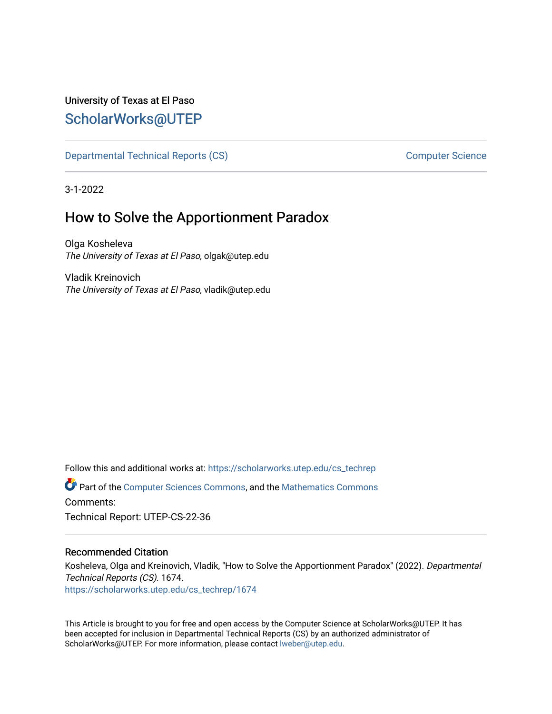## University of Texas at El Paso [ScholarWorks@UTEP](https://scholarworks.utep.edu/)

[Departmental Technical Reports \(CS\)](https://scholarworks.utep.edu/cs_techrep) and the computer Science Computer Science

3-1-2022

# How to Solve the Apportionment Paradox

Olga Kosheleva The University of Texas at El Paso, olgak@utep.edu

Vladik Kreinovich The University of Texas at El Paso, vladik@utep.edu

Follow this and additional works at: [https://scholarworks.utep.edu/cs\\_techrep](https://scholarworks.utep.edu/cs_techrep?utm_source=scholarworks.utep.edu%2Fcs_techrep%2F1674&utm_medium=PDF&utm_campaign=PDFCoverPages) 

Part of the [Computer Sciences Commons](http://network.bepress.com/hgg/discipline/142?utm_source=scholarworks.utep.edu%2Fcs_techrep%2F1674&utm_medium=PDF&utm_campaign=PDFCoverPages), and the [Mathematics Commons](http://network.bepress.com/hgg/discipline/174?utm_source=scholarworks.utep.edu%2Fcs_techrep%2F1674&utm_medium=PDF&utm_campaign=PDFCoverPages)  Comments:

Technical Report: UTEP-CS-22-36

### Recommended Citation

Kosheleva, Olga and Kreinovich, Vladik, "How to Solve the Apportionment Paradox" (2022). Departmental Technical Reports (CS). 1674. [https://scholarworks.utep.edu/cs\\_techrep/1674](https://scholarworks.utep.edu/cs_techrep/1674?utm_source=scholarworks.utep.edu%2Fcs_techrep%2F1674&utm_medium=PDF&utm_campaign=PDFCoverPages) 

This Article is brought to you for free and open access by the Computer Science at ScholarWorks@UTEP. It has been accepted for inclusion in Departmental Technical Reports (CS) by an authorized administrator of ScholarWorks@UTEP. For more information, please contact [lweber@utep.edu](mailto:lweber@utep.edu).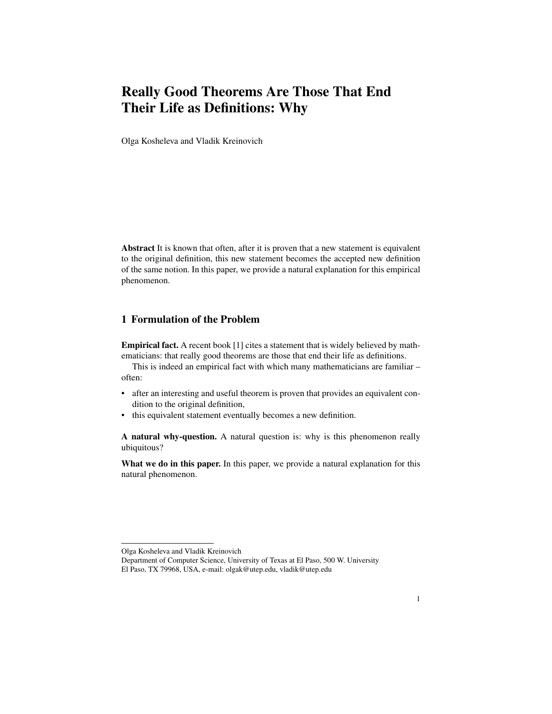## Really Good Theorems Are Those That End Their Life as Definitions: Why

Olga Kosheleva and Vladik Kreinovich

Abstract It is known that often, after it is proven that a new statement is equivalent to the original definition, this new statement becomes the accepted new definition of the same notion. In this paper, we provide a natural explanation for this empirical phenomenon.

### 1 Formulation of the Problem

Empirical fact. A recent book [1] cites a statement that is widely believed by mathematicians: that really good theorems are those that end their life as definitions.

This is indeed an empirical fact with which many mathematicians are familiar – often:

- after an interesting and useful theorem is proven that provides an equivalent condition to the original definition,
- this equivalent statement eventually becomes a new definition.

A natural why-question. A natural question is: why is this phenomenon really ubiquitous?

What we do in this paper. In this paper, we provide a natural explanation for this natural phenomenon.

Olga Kosheleva and Vladik Kreinovich

Department of Computer Science, University of Texas at El Paso, 500 W. University El Paso, TX 79968, USA, e-mail: olgak@utep.edu, vladik@utep.edu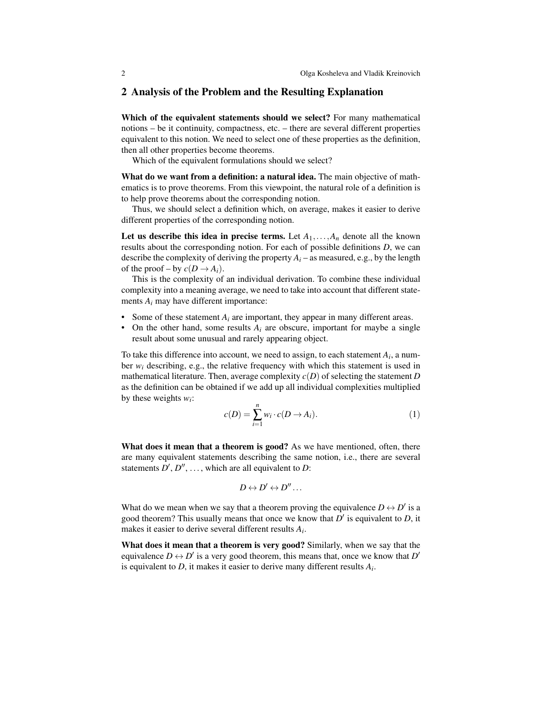#### 2 Analysis of the Problem and the Resulting Explanation

Which of the equivalent statements should we select? For many mathematical notions – be it continuity, compactness, etc. – there are several different properties equivalent to this notion. We need to select one of these properties as the definition, then all other properties become theorems.

Which of the equivalent formulations should we select?

What do we want from a definition: a natural idea. The main objective of mathematics is to prove theorems. From this viewpoint, the natural role of a definition is to help prove theorems about the corresponding notion.

Thus, we should select a definition which, on average, makes it easier to derive different properties of the corresponding notion.

Let us describe this idea in precise terms. Let  $A_1, \ldots, A_n$  denote all the known results about the corresponding notion. For each of possible definitions *D*, we can describe the complexity of deriving the property  $A_i$  – as measured, e.g., by the length of the proof – by  $c(D \rightarrow A_i)$ .

This is the complexity of an individual derivation. To combine these individual complexity into a meaning average, we need to take into account that different statements *A<sup>i</sup>* may have different importance:

- Some of these statement  $A_i$  are important, they appear in many different areas.
- On the other hand, some results  $A_i$  are obscure, important for maybe a single result about some unusual and rarely appearing object.

To take this difference into account, we need to assign, to each statement  $A_i$ , a number  $w_i$  describing, e.g., the relative frequency with which this statement is used in mathematical literature. Then, average complexity  $c(D)$  of selecting the statement *D* as the definition can be obtained if we add up all individual complexities multiplied by these weights  $w_i$ :

$$
c(D) = \sum_{i=1}^{n} w_i \cdot c(D \to A_i). \tag{1}
$$

What does it mean that a theorem is good? As we have mentioned, often, there are many equivalent statements describing the same notion, i.e., there are several statements  $D', D'', \ldots$ , which are all equivalent to *D*:

$$
D \leftrightarrow D' \leftrightarrow D'' \dots
$$

What do we mean when we say that a theorem proving the equivalence  $D \leftrightarrow D'$  is a good theorem? This usually means that once we know that  $D'$  is equivalent to  $D$ , it makes it easier to derive several different results *A<sup>i</sup>* .

What does it mean that a theorem is very good? Similarly, when we say that the equivalence  $D \leftrightarrow D'$  is a very good theorem, this means that, once we know that  $D'$ is equivalent to *D*, it makes it easier to derive many different results *A<sup>i</sup>* .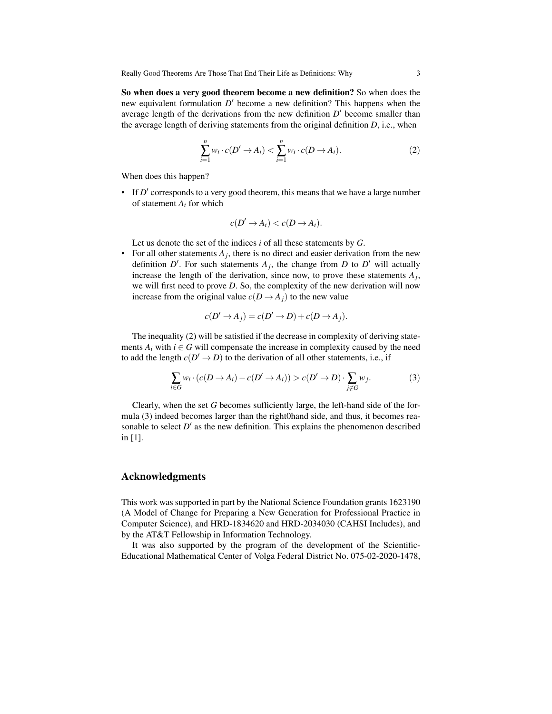So when does a very good theorem become a new definition? So when does the new equivalent formulation *D'* become a new definition? This happens when the average length of the derivations from the new definition  $D'$  become smaller than the average length of deriving statements from the original definition *D*, i.e., when

$$
\sum_{i=1}^{n} w_i \cdot c(D' \to A_i) < \sum_{i=1}^{n} w_i \cdot c(D \to A_i). \tag{2}
$$

When does this happen?

 $\bullet$  If  $D'$  corresponds to a very good theorem, this means that we have a large number of statement *A<sup>i</sup>* for which

$$
c(D' \to A_i) < c(D \to A_i).
$$

Let us denote the set of the indices *i* of all these statements by *G*.

• For all other statements  $A_j$ , there is no direct and easier derivation from the new definition  $D'$ . For such statements  $A_j$ , the change from  $D$  to  $D'$  will actually increase the length of the derivation, since now, to prove these statements *A<sup>j</sup>* , we will first need to prove *D*. So, the complexity of the new derivation will now increase from the original value  $c(D \rightarrow A_j)$  to the new value

$$
c(D' \to A_j) = c(D' \to D) + c(D \to A_j).
$$

The inequality (2) will be satisfied if the decrease in complexity of deriving statements  $A_i$  with  $i \in G$  will compensate the increase in complexity caused by the need to add the length  $c(D' \rightarrow D)$  to the derivation of all other statements, i.e., if

$$
\sum_{i \in G} w_i \cdot (c(D \to A_i) - c(D' \to A_i)) > c(D' \to D) \cdot \sum_{j \notin G} w_j. \tag{3}
$$

Clearly, when the set *G* becomes sufficiently large, the left-hand side of the formula (3) indeed becomes larger than the right0hand side, and thus, it becomes reasonable to select  $D'$  as the new definition. This explains the phenomenon described in [1].

#### Acknowledgments

This work was supported in part by the National Science Foundation grants 1623190 (A Model of Change for Preparing a New Generation for Professional Practice in Computer Science), and HRD-1834620 and HRD-2034030 (CAHSI Includes), and by the AT&T Fellowship in Information Technology.

It was also supported by the program of the development of the Scientific-Educational Mathematical Center of Volga Federal District No. 075-02-2020-1478,